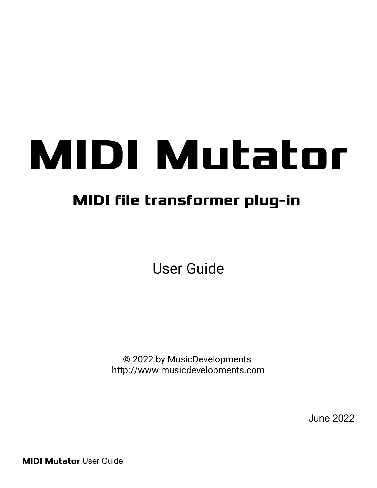# **MIDI Mutator**

## **MIDI file transformer plug-in**

User Guide

© 2022 by MusicDevelopments http://www.musicdevelopments.com

June 2022

**MIDI Mutator** User Guide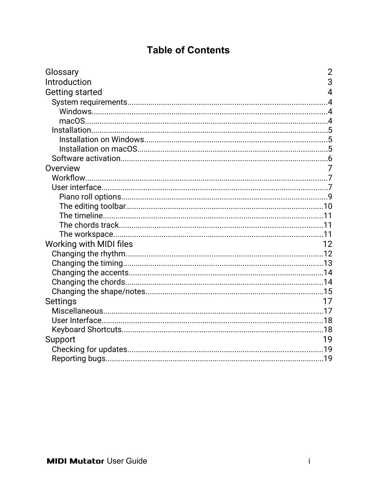#### **Table of Contents**

| Glossary                | $\overline{2}$ |
|-------------------------|----------------|
| Introduction            | 3              |
| <b>Getting started</b>  | $\overline{4}$ |
|                         |                |
|                         |                |
|                         |                |
|                         |                |
|                         |                |
|                         |                |
|                         |                |
| Overview                | 7              |
|                         |                |
|                         |                |
|                         |                |
|                         |                |
|                         |                |
|                         |                |
|                         |                |
| Working with MIDI files | 12             |
|                         |                |
|                         |                |
|                         |                |
|                         |                |
|                         |                |
| <b>Settings</b>         | 17             |
|                         |                |
|                         |                |
|                         |                |
| Support                 | 19             |
|                         |                |
|                         |                |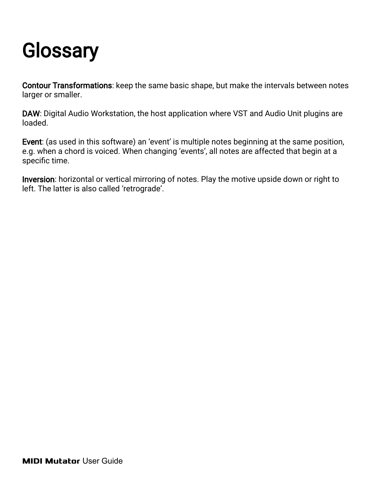## <span id="page-2-0"></span>**Glossary**

Contour Transformations: keep the same basic shape, but make the intervals between notes larger or smaller.

DAW: Digital Audio Workstation, the host application where VST and Audio Unit plugins are loaded.

Event: (as used in this software) an 'event' is multiple notes beginning at the same position, e.g. when a chord is voiced. When changing 'events', all notes are affected that begin at a specific time.

Inversion: horizontal or vertical mirroring of notes. Play the motive upside down or right to left. The latter is also called 'retrograde'.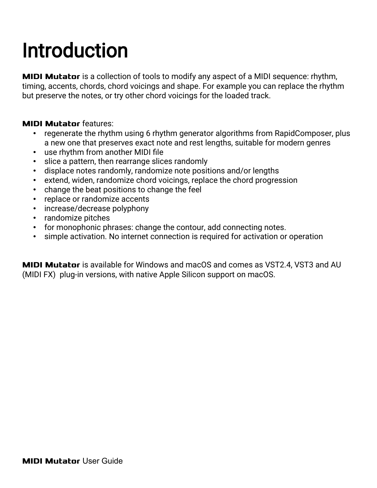## <span id="page-3-0"></span>Introduction

**MIDI Mutator** is a collection of tools to modify any aspect of a MIDI sequence: rhythm, timing, accents, chords, chord voicings and shape. For example you can replace the rhythm but preserve the notes, or try other chord voicings for the loaded track.

#### **MIDI Mutator** features:

- regenerate the rhythm using 6 rhythm generator algorithms from RapidComposer, plus a new one that preserves exact note and rest lengths, suitable for modern genres
- use rhythm from another MIDI file
- slice a pattern, then rearrange slices randomly
- displace notes randomly, randomize note positions and/or lengths
- extend, widen, randomize chord voicings, replace the chord progression
- change the beat positions to change the feel
- replace or randomize accents
- increase/decrease polyphony
- randomize pitches
- for monophonic phrases: change the contour, add connecting notes.
- simple activation. No internet connection is required for activation or operation

**MIDI Mutator** is available for Windows and macOS and comes as VST2.4, VST3 and AU (MIDI FX) plug-in versions, with native Apple Silicon support on macOS.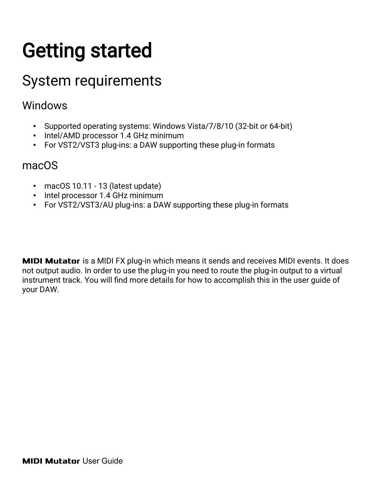## <span id="page-4-3"></span>Getting started

## <span id="page-4-2"></span>System requirements

#### <span id="page-4-1"></span>Windows

- Supported operating systems: Windows Vista/7/8/10 (32-bit or 64-bit)
- Intel/AMD processor 1.4 GHz minimum
- For VST2/VST3 plug-ins: a DAW supporting these plug-in formats

#### <span id="page-4-0"></span>macOS

- macOS 10.11 13 (latest update)
- Intel processor 1.4 GHz minimum
- For VST2/VST3/AU plug-ins: a DAW supporting these plug-in formats

**MIDI Mutator** is a MIDI FX plug-in which means it sends and receives MIDI events. It does not output audio. In order to use the plug-in you need to route the plug-in output to a virtual instrument track. You will find more details for how to accomplish this in the user guide of your DAW.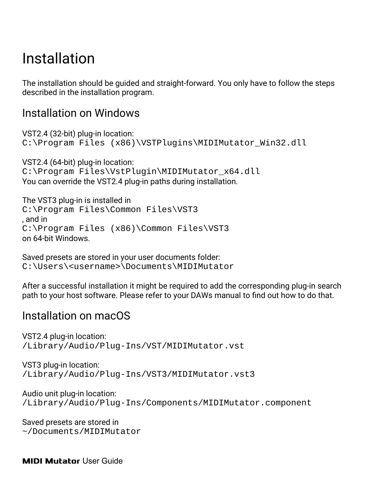## <span id="page-5-2"></span>Installation

The installation should be guided and straight-forward. You only have to follow the steps described in the installation program.

#### <span id="page-5-1"></span>Installation on Windows

VST2.4 (32-bit) plug-in location: C:\Program Files (x86)\VSTPlugins\MIDIMutator\_Win32.dll

VST2.4 (64-bit) plug-in location: C:\Program Files\VstPlugin\MIDIMutator\_x64.dll You can override the VST2.4 plug-in paths during installation.

The VST3 plug-in is installed in C:\Program Files\Common Files\VST3 , and in C:\Program Files (x86)\Common Files\VST3 on 64-bit Windows.

Saved presets are stored in your user documents folder: C:\Users\<username>\Documents\MIDIMutator

After a successful installation it might be required to add the corresponding plug-in search path to your host software. Please refer to your DAWs manual to find out how to do that.

#### <span id="page-5-0"></span>Installation on macOS

VST2.4 plug-in location: /Library/Audio/Plug-Ins/VST/MIDIMutator.vst

VST3 plug-in location: /Library/Audio/Plug-Ins/VST3/MIDIMutator.vst3

Audio unit plug-in location: /Library/Audio/Plug-Ins/Components/MIDIMutator.component

Saved presets are stored in ~/Documents/MIDIMutator

**MIDI Mutator** User Guide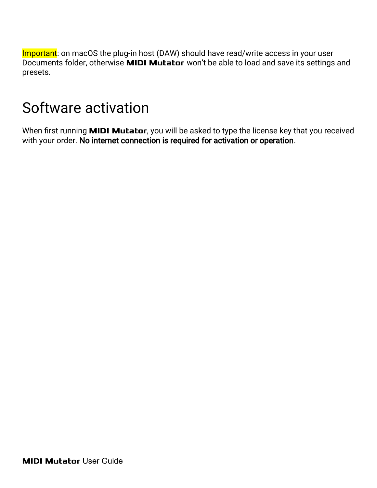Important: on macOS the plug-in host (DAW) should have read/write access in your user Documents folder, otherwise **MIDI Mutator** won't be able to load and save its settings and presets.

### <span id="page-6-0"></span>Software activation

When first running **MIDI Mutator**, you will be asked to type the license key that you received with your order. No internet connection is required for activation or operation.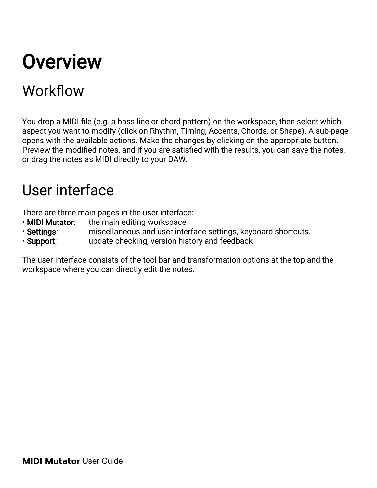## <span id="page-7-2"></span>**Overview**

## <span id="page-7-1"></span>Workflow

You drop a MIDI file (e.g. a bass line or chord pattern) on the workspace, then select which aspect you want to modify (click on Rhythm, Timing, Accents, Chords, or Shape). A sub-page opens with the available actions. Make the changes by clicking on the appropriate button. Preview the modified notes, and if you are satisfied with the results, you can save the notes, or drag the notes as MIDI directly to your DAW.

### <span id="page-7-0"></span>User interface

There are three main pages in the user interface:

- MIDI Mutator: the main editing workspace
- Settings: miscellaneous and user interface settings, keyboard shortcuts.
- Support: update checking, version history and feedback

The user interface consists of the tool bar and transformation options at the top and the workspace where you can directly edit the notes.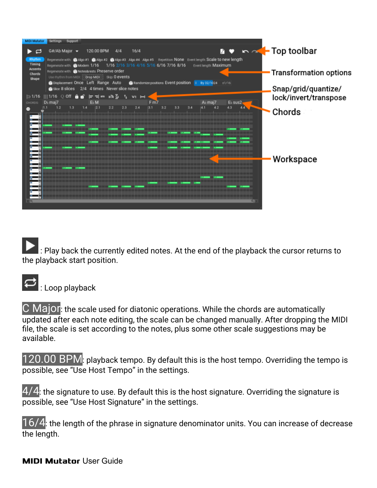| <b>MIDI Mutator</b><br><b>Settings</b><br>Support                                                                                                                                                                                                                                                                                                                                                                                                                                                                                                                      |                                               |
|------------------------------------------------------------------------------------------------------------------------------------------------------------------------------------------------------------------------------------------------------------------------------------------------------------------------------------------------------------------------------------------------------------------------------------------------------------------------------------------------------------------------------------------------------------------------|-----------------------------------------------|
| М<br>16/4<br>G#/Ab Major $\sim$<br>120.00 BPM<br>4/4                                                                                                                                                                                                                                                                                                                                                                                                                                                                                                                   | → A Top toolbar                               |
| 69 Algo #1 69 Algo #2 69 Algo #3 Algo #4 Algo #5 Repetition: NONe Event length: Scale to new length<br>Rhythm<br>Regenerate with:<br>Timing<br>1/16 2/16 3/16 4/16 5/16 6/16 7/16 8/16<br>Event length: Maximum<br>Regenerate with: 60 Modern 1/16<br><b>Accents</b><br>Regenerate with: Su Notes&rests Preserve order<br>Chords<br>Use rhythm from MIDI: Corop MIDI Skip: 0 events<br>Shape<br><b>Be Randomize positions Event position</b> D By 32/1024 ±1/16<br><b>Standard Displacement Once Left Range Auto</b><br>2/4 4 times Never slice notes<br>Sice 8 slices | Transformation options<br>Snap/grid/quantize/ |
| ਿ 1/16<br><b>III 1/16</b><br>n a Yu<br>$V^{\pm}$ $\left  \leftarrow \right $<br>m<br>⊟<br>▄<br>⊨<br>ה<br>D <sub>b</sub> maj7<br>Fm7<br>Al-maj7<br>El sus2<br>EL M<br>CHORDS:                                                                                                                                                                                                                                                                                                                                                                                           | lock/invert/transpose                         |
| 2.4<br>1.3<br>7.4<br>12.1<br>2.2<br>2.3<br> 3.1 <br>3.2<br>3.4<br>4.3<br>3.3<br>4.2<br>1.2<br>۰                                                                                                                                                                                                                                                                                                                                                                                                                                                                        | Chords                                        |
|                                                                                                                                                                                                                                                                                                                                                                                                                                                                                                                                                                        |                                               |
|                                                                                                                                                                                                                                                                                                                                                                                                                                                                                                                                                                        |                                               |
| # #                                                                                                                                                                                                                                                                                                                                                                                                                                                                                                                                                                    |                                               |
|                                                                                                                                                                                                                                                                                                                                                                                                                                                                                                                                                                        | Workspace                                     |
|                                                                                                                                                                                                                                                                                                                                                                                                                                                                                                                                                                        |                                               |
|                                                                                                                                                                                                                                                                                                                                                                                                                                                                                                                                                                        |                                               |
| ____________________<br>बा                                                                                                                                                                                                                                                                                                                                                                                                                                                                                                                                             |                                               |
|                                                                                                                                                                                                                                                                                                                                                                                                                                                                                                                                                                        |                                               |

 $\vert$ : Play back the currently edited notes. At the end of the playback the cursor returns to the playback start position.



 $\overline{\mathbf{C}}$  : Loop playback

C Major: the scale used for diatonic operations. While the chords are automatically updated after each note editing, the scale can be changed manually. After dropping the MIDI file, the scale is set according to the notes, plus some other scale suggestions may be available.

120.00 BPM: playback tempo. By default this is the host tempo. Overriding the tempo is possible, see "Use Host Tempo" in the settings.

 $4/4$ : the signature to use. By default this is the host signature. Overriding the signature is possible, see "Use Host Signature" in the settings.

 $16/4$ : the length of the phrase in signature denominator units. You can increase of decrease the length.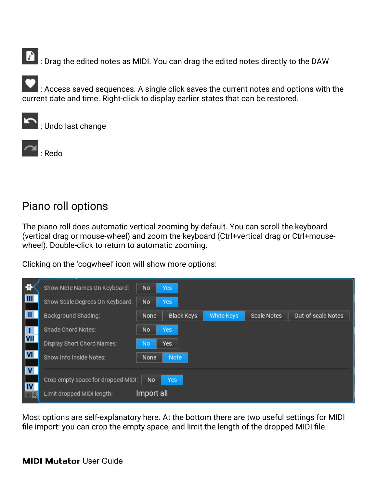$\left| \cdot \right|$  : Drag the edited notes as MIDI. You can drag the edited notes directly to the DAW

 $\Box$  : Access saved sequences. A single click saves the current notes and options with the current date and time. Right-click to display earlier states that can be restored.

: Undo last change



#### <span id="page-9-0"></span>Piano roll options

The piano roll does automatic vertical zooming by default. You can scroll the keyboard (vertical drag or mouse-wheel) and zoom the keyboard (Ctrl+vertical drag or Ctrl+mousewheel). Double-click to return to automatic zooming.

Clicking on the 'cogwheel' icon will show more options:

| ă.                            | Show Note Names On Keyboard:       | No         | <b>Yes</b>        |            |             |                    |
|-------------------------------|------------------------------------|------------|-------------------|------------|-------------|--------------------|
| $\mathbf{III}$                | Show Scale Degrees On Keyboard:    | No         | <b>Yes</b>        |            |             |                    |
| H.                            | Background Shading:                | None       | <b>Black Keys</b> | White Keys | Scale Notes | Out-of-scale Notes |
|                               | Shade Chord Notes:                 | No         | Yes               |            |             |                    |
| VII                           | Display Short Chord Names:         | <b>No</b>  | Yes               |            |             |                    |
| <b>VI</b>                     | Show Info Inside Notes:            | None       | Note              |            |             |                    |
| $\mathsf{v}$                  |                                    |            |                   |            |             |                    |
|                               | Crop empty space for dropped MIDI: | No         | <b>Yes</b>        |            |             |                    |
| IV<br>$\overline{\mathsf{R}}$ | Limit dropped MIDI length:         | Import all |                   |            |             |                    |

Most options are self-explanatory here. At the bottom there are two useful settings for MIDI file import: you can crop the empty space, and limit the length of the dropped MIDI file.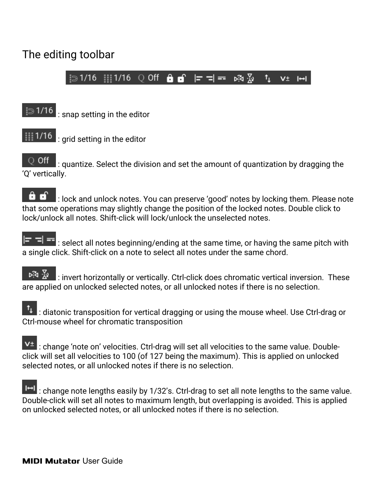#### <span id="page-10-0"></span>The editing toolbar

 $\frac{1}{2}$  31/16  $\frac{1}{2}$  11/16 0 Off **A A**  $\frac{1}{2}$  **F**  $\frac{1}{2}$  =  $\frac{5}{2}$  $\mathfrak{t}_1$  $V^{\pm}$   $\mapsto$ 

 $\approx 1/16$ : snap setting in the editor



 $\left| \frac{1}{111}\right|$  1/16 : grid setting in the editor

 $\circ$  off  $\vert$  : quantize. Select the division and set the amount of quantization by dragging the 'Q' vertically.

: lock and unlock notes. You can preserve 'good' notes by locking them. Please note 8 that some operations may slightly change the position of the locked notes. Double click to lock/unlock all notes. Shift-click will lock/unlock the unselected notes.

 $\blacktriangleright$   $\blacktriangleright$   $\blacktriangleright$  : select all notes beginning/ending at the same time, or having the same pitch with a single click. Shift-click on a note to select all notes under the same chord.

: invert horizontally or vertically. Ctrl-click does chromatic vertical inversion. These are applied on unlocked selected notes, or all unlocked notes if there is no selection.

 $\left| \begin{array}{l} 1 \end{array} \right|$  : diatonic transposition for vertical dragging or using the mouse wheel. Use Ctrl-drag or Ctrl-mouse wheel for chromatic transposition

 $V^{\pm}$ : change 'note on' velocities. Ctrl-drag will set all velocities to the same value. Doubleclick will set all velocities to 100 (of 127 being the maximum). This is applied on unlocked selected notes, or all unlocked notes if there is no selection.

 $\blacksquare$ : change note lengths easily by 1/32's. Ctrl-drag to set all note lengths to the same value. Double-click will set all notes to maximum length, but overlapping is avoided. This is applied on unlocked selected notes, or all unlocked notes if there is no selection.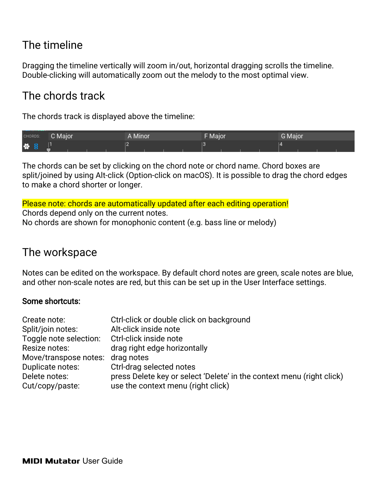#### <span id="page-11-2"></span>The timeline

Dragging the timeline vertically will zoom in/out, horizontal dragging scrolls the timeline. Double-clicking will automatically zoom out the melody to the most optimal view.

#### <span id="page-11-1"></span>The chords track

The chords track is displayed above the timeline:

| CHORDS: | C Major | A Minor | <b>FMajor</b> | <b>G</b> Major |
|---------|---------|---------|---------------|----------------|
| 登       |         |         |               |                |

The chords can be set by clicking on the chord note or chord name. Chord boxes are split/joined by using Alt-click (Option-click on macOS). It is possible to drag the chord edges to make a chord shorter or longer.

Please note: chords are automatically updated after each editing operation! Chords depend only on the current notes. No chords are shown for monophonic content (e.g. bass line or melody)

#### <span id="page-11-0"></span>The workspace

Notes can be edited on the workspace. By default chord notes are green, scale notes are blue, and other non-scale notes are red, but this can be set up in the User Interface settings.

#### Some shortcuts:

| Create note:                                  | Ctrl-click or double click on background                              |
|-----------------------------------------------|-----------------------------------------------------------------------|
| Split/join notes:                             | Alt-click inside note                                                 |
| Toggle note selection: Ctrl-click inside note |                                                                       |
| Resize notes:                                 | drag right edge horizontally                                          |
| Move/transpose notes: drag notes              |                                                                       |
| Duplicate notes:                              | Ctrl-drag selected notes                                              |
| Delete notes:                                 | press Delete key or select 'Delete' in the context menu (right click) |
| Cut/copy/paste:                               | use the context menu (right click)                                    |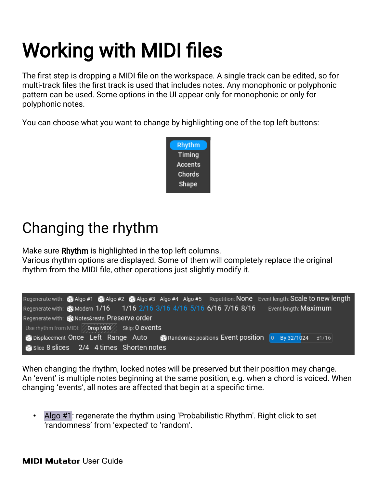## <span id="page-12-1"></span>Working with MIDI files

The first step is dropping a MIDI file on the workspace. A single track can be edited, so for multi-track files the first track is used that includes notes. Any monophonic or polyphonic pattern can be used. Some options in the UI appear only for monophonic or only for polyphonic notes.

You can choose what you want to change by highlighting one of the top left buttons:



## <span id="page-12-0"></span>Changing the rhythm

Make sure Rhythm is highlighted in the top left columns.

Various rhythm options are displayed. Some of them will completely replace the original rhythm from the MIDI file, other operations just slightly modify it.

|                                                                |  |  |  | Regenerate with: ca Algo #1 ca Algo #2 ca Algo #3 Algo #4 Algo #5 Repetition: None Event length: Scale to new length |  |
|----------------------------------------------------------------|--|--|--|----------------------------------------------------------------------------------------------------------------------|--|
|                                                                |  |  |  | Event length: <b>Maximum</b>                                                                                         |  |
| Regenerate with: contes&rests Preserve order                   |  |  |  |                                                                                                                      |  |
| Use rhythm from MIDI: $\sqrt{\text{prop MIDI}}$ Skip: 0 events |  |  |  |                                                                                                                      |  |
|                                                                |  |  |  | <b>命Displacement Once Left Range Auto a</b> Randomize positions Event position 0 By 32/1024 ±1/16                    |  |
| Slice 8 slices 2/4 4 times Shorten notes                       |  |  |  |                                                                                                                      |  |

When changing the rhythm, locked notes will be preserved but their position may change. An 'event' is multiple notes beginning at the same position, e.g. when a chord is voiced. When changing 'events', all notes are affected that begin at a specific time.

• Algo #1: regenerate the rhythm using 'Probabilistic Rhythm'. Right click to set 'randomness' from 'expected' to 'random'.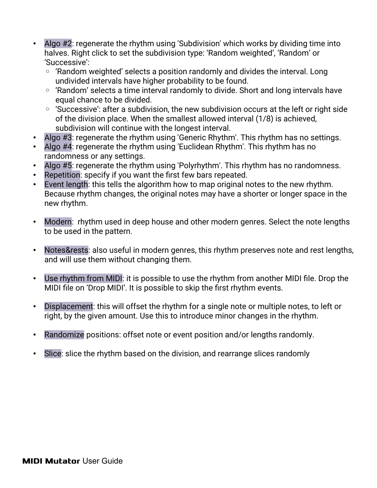- Algo #2: regenerate the rhythm using 'Subdivision' which works by dividing time into halves. Right click to set the subdivision type: 'Random weighted', 'Random' or 'Successive':
	- 'Random weighted' selects a position randomly and divides the interval. Long undivided intervals have higher probability to be found.
	- 'Random' selects a time interval randomly to divide. Short and long intervals have equal chance to be divided.
	- 'Successive': after a subdivision, the new subdivision occurs at the left or right side of the division place. When the smallest allowed interval (1/8) is achieved, subdivision will continue with the longest interval.
- Algo #3: regenerate the rhythm using 'Generic Rhythm'. This rhythm has no settings.
- Algo #4: regenerate the rhythm using 'Euclidean Rhythm'. This rhythm has no randomness or any settings.
- Algo #5: regenerate the rhythm using 'Polyrhythm'. This rhythm has no randomness.
- Repetition: specify if you want the first few bars repeated.
- Event length: this tells the algorithm how to map original notes to the new rhythm. Because rhythm changes, the original notes may have a shorter or longer space in the new rhythm.
- Modern: rhythm used in deep house and other modern genres. Select the note lengths to be used in the pattern.
- Notes&rests: also useful in modern genres, this rhythm preserves note and rest lengths, and will use them without changing them.
- Use rhythm from MIDI: it is possible to use the rhythm from another MIDI file. Drop the MIDI file on 'Drop MIDI'. It is possible to skip the first rhythm events.
- Displacement: this will offset the rhythm for a single note or multiple notes, to left or right, by the given amount. Use this to introduce minor changes in the rhythm.
- Randomize positions: offset note or event position and/or lengths randomly.
- Slice: slice the rhythm based on the division, and rearrange slices randomly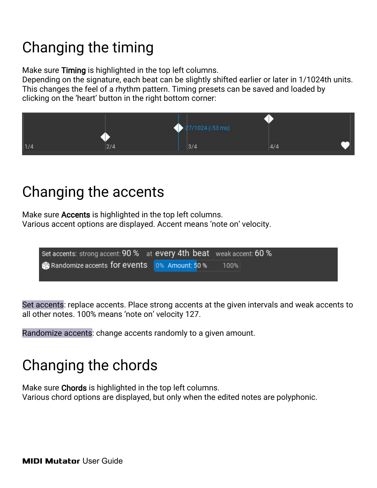## <span id="page-14-2"></span>Changing the timing

Make sure Timing is highlighted in the top left columns.

Depending on the signature, each beat can be slightly shifted earlier or later in 1/1024th units. This changes the feel of a rhythm pattern. Timing presets can be saved and loaded by clicking on the 'heart' button in the right bottom corner:



## <span id="page-14-1"></span>Changing the accents

Make sure **Accents** is highlighted in the top left columns. Various accent options are displayed. Accent means 'note on' velocity.

| Set accents: strong accent: 90 % at every 4th beat weak accent: 60 % |      |
|----------------------------------------------------------------------|------|
| Randomize accents for events 0% Amount: 50 %                         | 100% |
|                                                                      |      |

Set accents: replace accents. Place strong accents at the given intervals and weak accents to all other notes. 100% means 'note on' velocity 127.

Randomize accents: change accents randomly to a given amount.

## <span id="page-14-0"></span>Changing the chords

Make sure **Chords** is highlighted in the top left columns. Various chord options are displayed, but only when the edited notes are polyphonic.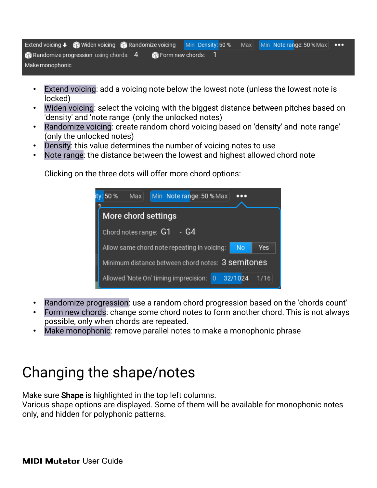|                 | Extend voicing ↓ 60 Widen voicing 60 Randomize voicing Min Density: 50 % Max Min Note range: 50 % Max   ••• |  |  |  |  |  |
|-----------------|-------------------------------------------------------------------------------------------------------------|--|--|--|--|--|
|                 | $\,$ Randomize progression using chords: $\,$ 4 $\,$ $\,$ $\,$ $\,$ Form new chords: $\,$ 1 $\,$            |  |  |  |  |  |
| Make monophonic |                                                                                                             |  |  |  |  |  |

- Extend voicing: add a voicing note below the lowest note (unless the lowest note is locked)
- Widen voicing: select the voicing with the biggest distance between pitches based on 'density' and 'note range' (only the unlocked notes)
- Randomize voicing: create random chord voicing based on 'density' and 'note range' (only the unlocked notes)
- Density: this value determines the number of voicing notes to use
- Note range: the distance between the lowest and highest allowed chord note

Clicking on the three dots will offer more chord options:



- Randomize progression: use a random chord progression based on the 'chords count'
- Form new chords: change some chord notes to form another chord. This is not always possible, only when chords are repeated.
- Make monophonic: remove parallel notes to make a monophonic phrase

## <span id="page-15-0"></span>Changing the shape/notes

Make sure Shape is highlighted in the top left columns.

Various shape options are displayed. Some of them will be available for monophonic notes only, and hidden for polyphonic patterns.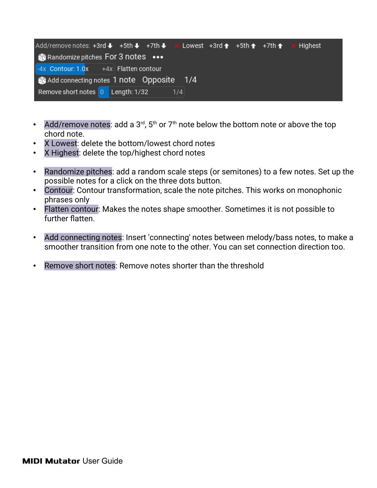| Add/remove notes: +3rd $\blacklozenge$ +5th $\blacklozenge$ +7th $\blacklozenge$ $\times$ Lowest +3rd $\blacklozenge$ +5th $\blacklozenge$ +7th $\blacklozenge$ $\times$ Highest |     |  |  |
|----------------------------------------------------------------------------------------------------------------------------------------------------------------------------------|-----|--|--|
| <b>Randomize pitches For 3 notes</b> •••                                                                                                                                         |     |  |  |
| $-4x$ Contour: 1.0x +4x Flatten contour                                                                                                                                          |     |  |  |
| Add connecting notes 1 note Opposite 1/4                                                                                                                                         |     |  |  |
| Remove short notes 0 Length: 1/32                                                                                                                                                | 1/4 |  |  |

- Add/remove notes: add a  $3<sup>rd</sup>$ ,  $5<sup>th</sup>$  or  $7<sup>th</sup>$  note below the bottom note or above the top chord note.
- X Lowest: delete the bottom/lowest chord notes
- X Highest: delete the top/highest chord notes
- Randomize pitches: add a random scale steps (or semitones) to a few notes. Set up the possible notes for a click on the three dots button.
- Contour: Contour transformation, scale the note pitches. This works on monophonic phrases only
- Flatten contour: Makes the notes shape smoother. Sometimes it is not possible to further flatten.
- Add connecting notes: Insert 'connecting' notes between melody/bass notes, to make a smoother transition from one note to the other. You can set connection direction too.
- Remove short notes: Remove notes shorter than the threshold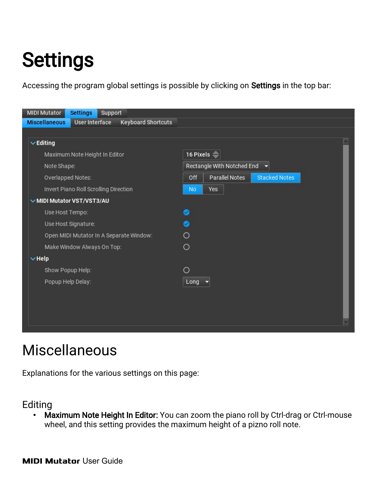## <span id="page-17-1"></span>**Settings**

Accessing the program global settings is possible by clicking on Settings in the top bar:

| <b>MIDI Mutator</b><br><b>Settings</b><br>Support                          |                                               |
|----------------------------------------------------------------------------|-----------------------------------------------|
| <b>User Interface</b><br><b>Miscellaneous</b><br><b>Keyboard Shortcuts</b> |                                               |
|                                                                            |                                               |
| $\vee$ Editing                                                             |                                               |
| Maximum Note Height In Editor                                              | 16 Pixels $\Rightarrow$                       |
| Note Shape:                                                                | Rectangle With Notched End<br>z               |
| Overlapped Notes:                                                          | Parallel Notes<br>Off<br><b>Stacked Notes</b> |
| Invert Piano Roll Scrolling Direction                                      | Yes<br><b>No</b>                              |
| MIDI Mutator VST/VST3/AU                                                   |                                               |
| Use Host Tempo:                                                            | $\bullet$                                     |
| Use Host Signature:                                                        |                                               |
| Open MIDI Mutator In A Separate Window:                                    | ∩                                             |
| Make Window Always On Top:                                                 | $\circ$                                       |
| $\vee$ Help                                                                |                                               |
| Show Popup Help:                                                           | ∩                                             |
| Popup Help Delay:                                                          | Long                                          |
|                                                                            |                                               |
|                                                                            |                                               |
|                                                                            |                                               |
|                                                                            |                                               |

### <span id="page-17-0"></span>Miscellaneous

Explanations for the various settings on this page:

#### Editing

• Maximum Note Height In Editor: You can zoom the piano roll by Ctrl-drag or Ctrl-mouse wheel, and this setting provides the maximum height of a pizno roll note.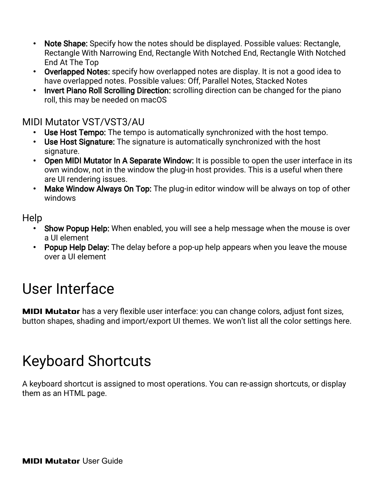- Note Shape: Specify how the notes should be displayed. Possible values: Rectangle, Rectangle With Narrowing End, Rectangle With Notched End, Rectangle With Notched End At The Top
- Overlapped Notes: specify how overlapped notes are display. It is not a good idea to have overlapped notes. Possible values: Off, Parallel Notes, Stacked Notes
- Invert Piano Roll Scrolling Direction: scrolling direction can be changed for the piano roll, this may be needed on macOS

#### MIDI Mutator VST/VST3/AU

- Use Host Tempo: The tempo is automatically synchronized with the host tempo.
- Use Host Signature: The signature is automatically synchronized with the host signature.
- Open MIDI Mutator In A Separate Window: It is possible to open the user interface in its own window, not in the window the plug-in host provides. This is a useful when there are UI rendering issues.
- Make Window Always On Top: The plug-in editor window will be always on top of other windows

#### Help

- Show Popup Help: When enabled, you will see a help message when the mouse is over a UI element
- Popup Help Delay: The delay before a pop-up help appears when you leave the mouse over a UI element

### <span id="page-18-1"></span>User Interface

**MIDI Mutator** has a very flexible user interface: you can change colors, adjust font sizes, button shapes, shading and import/export UI themes. We won't list all the color settings here.

## <span id="page-18-0"></span>Keyboard Shortcuts

A keyboard shortcut is assigned to most operations. You can re-assign shortcuts, or display them as an HTML page.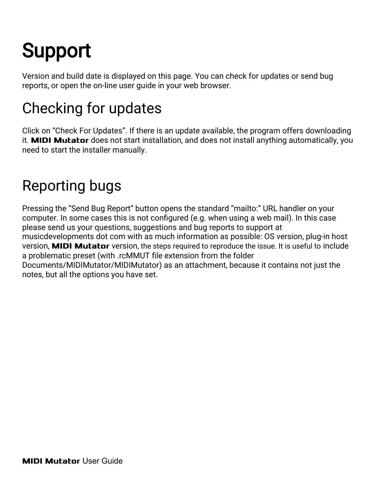## <span id="page-19-2"></span>**Support**

Version and build date is displayed on this page. You can check for updates or send bug reports, or open the on-line user guide in your web browser.

## <span id="page-19-1"></span>Checking for updates

Click on "Check For Updates". If there is an update available, the program offers downloading it. **MIDI Mutator** does not start installation, and does not install anything automatically, you need to start the installer manually.

## <span id="page-19-0"></span>Reporting bugs

Pressing the "Send Bug Report" button opens the standard "mailto:" URL handler on your computer. In some cases this is not configured (e.g. when using a web mail). In this case please send us your questions, suggestions and bug reports to support at musicdevelopments dot com with as much information as possible: OS version, plug-in host version, **MIDI Mutator** version, the steps required to reproduce the issue. It is useful to include a problematic preset (with .rcMMUT file extension from the folder Documents/MIDIMutator/MIDIMutator) as an attachment, because it contains not just the notes, but all the options you have set.